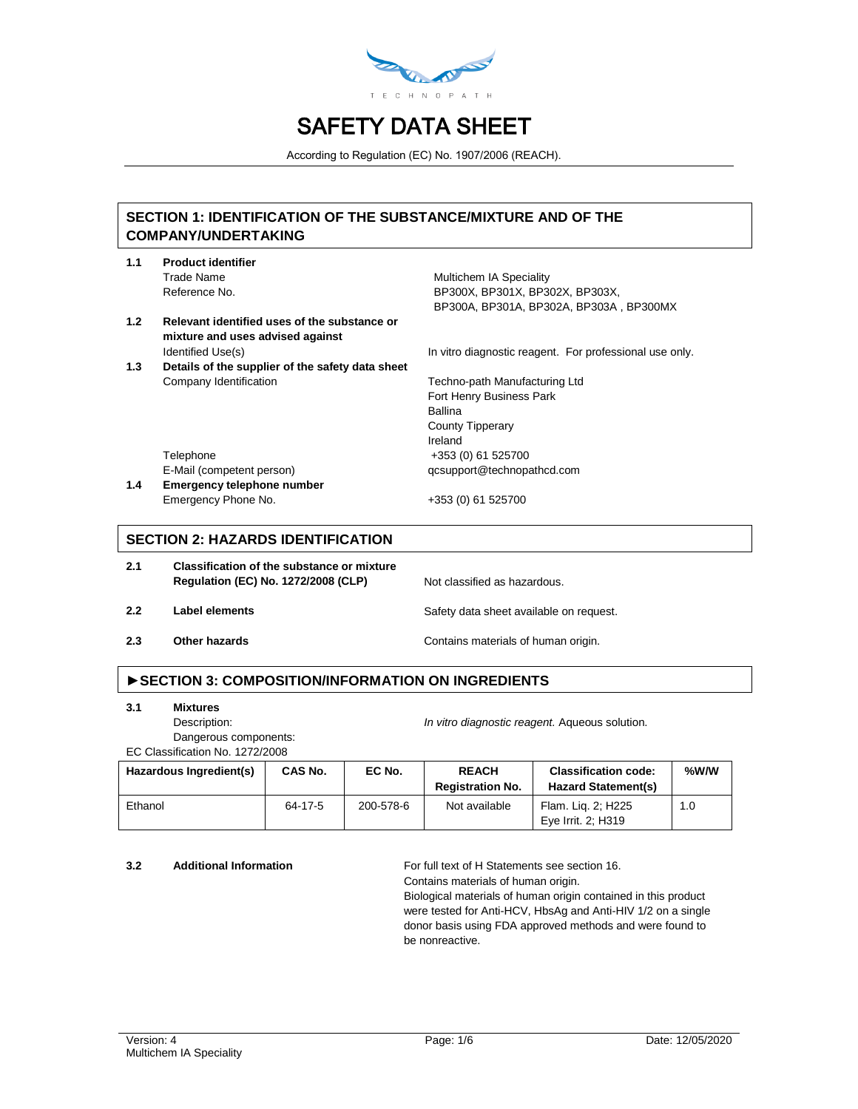

According to Regulation (EC) No. 1907/2006 (REACH).

# **SECTION 1: IDENTIFICATION OF THE SUBSTANCE/MIXTURE AND OF THE COMPANY/UNDERTAKING**

- **1.1 Product identifier** Trade Name **Multichem IA Speciality** 
	- Reference No. **BP300X, BP300X, BP302X, BP303X, BP303X**, BP300A, BP301A, BP302A, BP303A , BP300MX
- **1.2 Relevant identified uses of the substance or mixture and uses advised against**
- **1.3 Details of the supplier of the safety data sheet** Company Identification Techno-path Manufacturing Ltd

Identified Use(s) In vitro diagnostic reagent. For professional use only.

Fort Henry Business Park Ballina County Tipperary Ireland Telephone +353 (0) 61 525700 E-Mail (competent person) qcsupport@technopathcd.com

**1.4 Emergency telephone number** Emergency Phone No. +353 (0) 61 525700

## **SECTION 2: HAZARDS IDENTIFICATION**

**2.1 Classification of the substance or mixture Regulation (EC) No. 1272/2008 (CLP)** Not classified as hazardous.

- **2.2 Label elements Safety data sheet available on request.**
- **2.3 Other hazards Contains materials of human origin.**

# **►SECTION 3: COMPOSITION/INFORMATION ON INGREDIENTS**

**3.1 Mixtures**

Description: *In vitro diagnostic reagent.* Aqueous solution. Dangerous components:

EC Classification No. 1272/2008

| Hazardous Ingredient(s) | CAS No. | EC No.    | <b>REACH</b><br><b>Registration No.</b> | <b>Classification code:</b><br><b>Hazard Statement(s)</b> | %W/W |
|-------------------------|---------|-----------|-----------------------------------------|-----------------------------------------------------------|------|
| Ethanol                 | 64-17-5 | 200-578-6 | Not available                           | Flam. Lig. 2; H225<br>Eye Irrit. 2: H319                  | 1.0  |

**3.2 Additional Information** For full text of H Statements see section 16.

Contains materials of human origin.

Biological materials of human origin contained in this product were tested for Anti-HCV, HbsAg and Anti-HIV 1/2 on a single donor basis using FDA approved methods and were found to be nonreactive.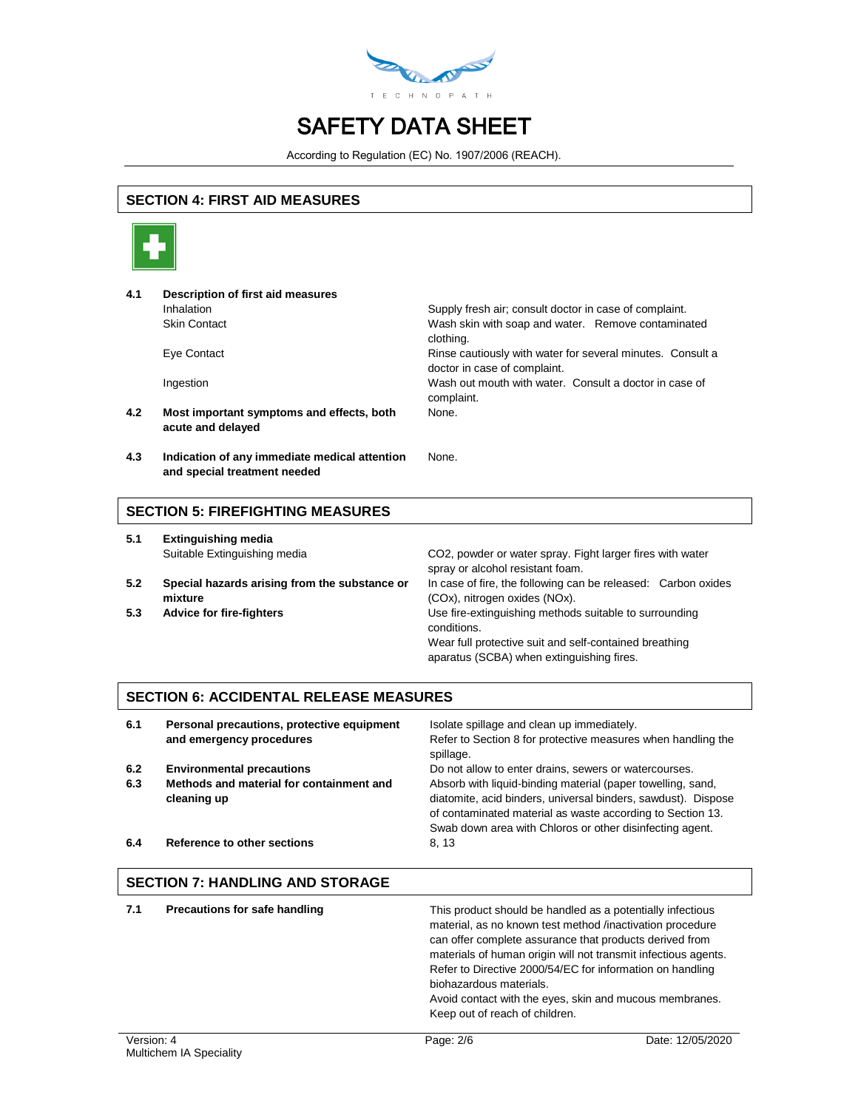

According to Regulation (EC) No. 1907/2006 (REACH).

# **SECTION 4: FIRST AID MEASURES**



| 4.1 | Description of first aid measures                                             |                                                                                            |
|-----|-------------------------------------------------------------------------------|--------------------------------------------------------------------------------------------|
|     | Inhalation                                                                    | Supply fresh air; consult doctor in case of complaint.                                     |
|     | <b>Skin Contact</b>                                                           | Wash skin with soap and water. Remove contaminated<br>clothing.                            |
|     | Eye Contact                                                                   | Rinse cautiously with water for several minutes. Consult a<br>doctor in case of complaint. |
|     | Ingestion                                                                     | Wash out mouth with water. Consult a doctor in case of<br>complaint.                       |
| 4.2 | Most important symptoms and effects, both<br>acute and delayed                | None.                                                                                      |
| 4.3 | Indication of any immediate medical attention<br>and special treatment needed | None.                                                                                      |

#### **SECTION 5: FIREFIGHTING MEASURES**

| 5.1 | <b>Extinguishing media</b>                               |                                                                                                     |  |  |
|-----|----------------------------------------------------------|-----------------------------------------------------------------------------------------------------|--|--|
|     | Suitable Extinguishing media                             | CO2, powder or water spray. Fight larger fires with water<br>spray or alcohol resistant foam.       |  |  |
| 5.2 | Special hazards arising from the substance or<br>mixture | In case of fire, the following can be released: Carbon oxides<br>(COx), nitrogen oxides (NOx).      |  |  |
| 5.3 | <b>Advice for fire-fighters</b>                          | Use fire-extinguishing methods suitable to surrounding<br>conditions.                               |  |  |
|     |                                                          | Wear full protective suit and self-contained breathing<br>aparatus (SCBA) when extinguishing fires. |  |  |

## **SECTION 6: ACCIDENTAL RELEASE MEASURES**

| 6.1        | Personal precautions, protective equipment<br>and emergency procedures                      | Isolate spillage and clean up immediately.<br>Refer to Section 8 for protective measures when handling the<br>spillage.                                                                                                                                                                                         |
|------------|---------------------------------------------------------------------------------------------|-----------------------------------------------------------------------------------------------------------------------------------------------------------------------------------------------------------------------------------------------------------------------------------------------------------------|
| 6.2<br>6.3 | <b>Environmental precautions</b><br>Methods and material for containment and<br>cleaning up | Do not allow to enter drains, sewers or watercourses.<br>Absorb with liquid-binding material (paper towelling, sand,<br>diatomite, acid binders, universal binders, sawdust). Dispose<br>of contaminated material as waste according to Section 13.<br>Swab down area with Chloros or other disinfecting agent. |
| 6.4        | Reference to other sections                                                                 | 8, 13                                                                                                                                                                                                                                                                                                           |

# **SECTION 7: HANDLING AND STORAGE 7.1 Precautions for safe handling** This product should be handled as a potentially infectious material, as no known test method /inactivation procedure can offer complete assurance that products derived from

biohazardous materials.

Keep out of reach of children.

materials of human origin will not transmit infectious agents. Refer to Directive 2000/54/EC for information on handling

Avoid contact with the eyes, skin and mucous membranes.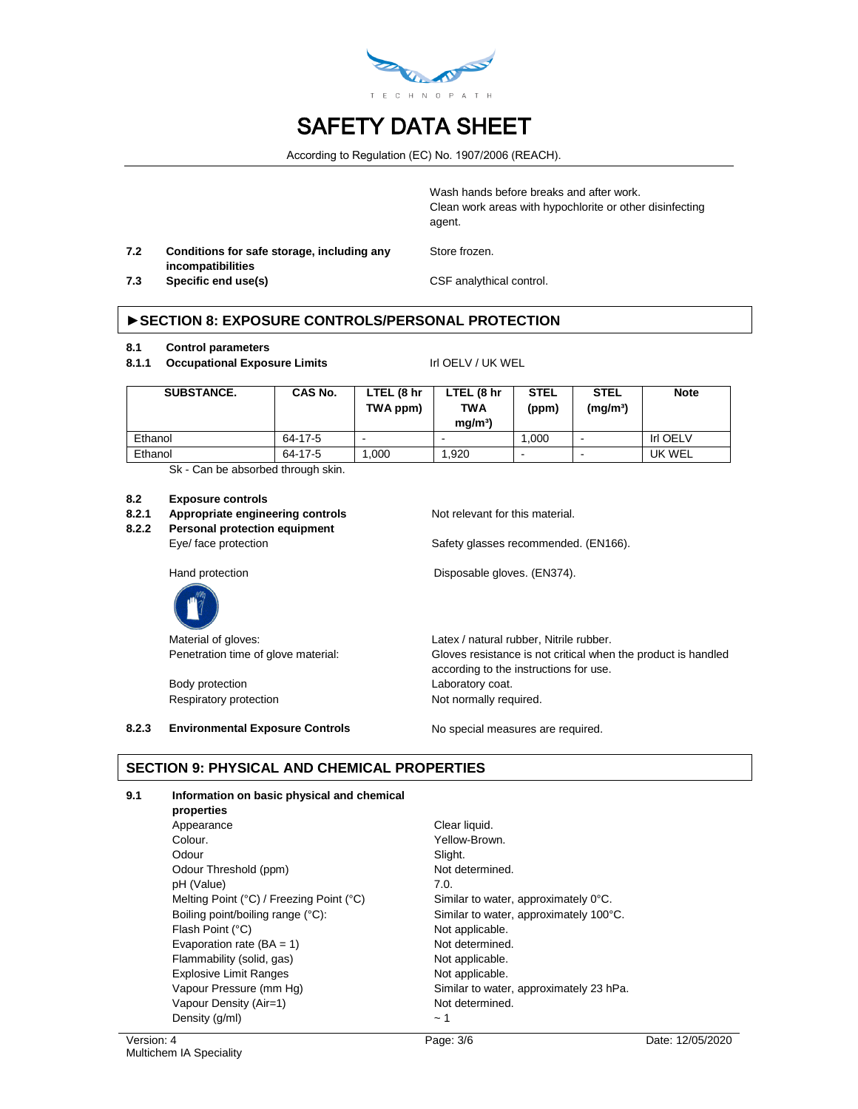

According to Regulation (EC) No. 1907/2006 (REACH).

Wash hands before breaks and after work. Clean work areas with hypochlorite or other disinfecting agent.

**7.2 Conditions for safe storage, including any incompatibilities**

Store frozen.

**7.3 Specific end use(s)** CSF analythical control.

## **►SECTION 8: EXPOSURE CONTROLS/PERSONAL PROTECTION**

#### **8.1 Control parameters**

8.1.1 **Occupational Exposure Limits** Irl OELV / UK WEL

| SUBSTANCE. | CAS No. | LTEL (8 hr<br>TWA ppm) | LTEL (8 hr<br><b>TWA</b><br>ma/m <sup>3</sup> | <b>STEL</b><br>(ppm) | <b>STEL</b><br>(mq/m <sup>3</sup> ) | <b>Note</b>     |
|------------|---------|------------------------|-----------------------------------------------|----------------------|-------------------------------------|-----------------|
| Ethanol    | 64-17-5 |                        |                                               | 1.000                | $\overline{\phantom{0}}$            | <b>Irl OELV</b> |
| Ethanol    | 64-17-5 | .000                   | 1.920                                         |                      | $\overline{\phantom{0}}$            | UK WEL          |

Sk - Can be absorbed through skin.

#### **8.2 Exposure controls**

#### **8.2.1 Appropriate engineering controls** Not relevant for this material.

**8.2.2 Personal protection equipment**

Eye/ face protection Safety glasses recommended. (EN166).

Hand protection **Disposable gloves.** (EN374).



Body protection extensive protection by the Laboratory coat.

Material of gloves:  $Latex / natural rubber$ , Nitrile rubber. Penetration time of glove material: Gloves resistance is not critical when the product is handled according to the instructions for use. Respiratory protection Not normally required.

**8.2.3 Environmental Exposure Controls** No special measures are required.

# **SECTION 9: PHYSICAL AND CHEMICAL PROPERTIES**

#### **9.1 Information on basic physical and chemical**

**properties** Appearance Clear liquid. Colour. Colour. Odour Slight. Odour Threshold (ppm) Not determined. pH (Value) 7.0. Melting Point (°C) / Freezing Point (°C) Similar to water, approximately 0°C. Boiling point/boiling range (°C): Similar to water, approximately 100°C. Flash Point (°C) and the control of the Not applicable. Evaporation rate  $(BA = 1)$  Not determined. Flammability (solid, gas) Not applicable. Explosive Limit Ranges Not applicable. Vapour Pressure (mm Hg) Similar to water, approximately 23 hPa. Vapour Density (Air=1) Not determined. Density  $(g/ml)$   $\sim 1$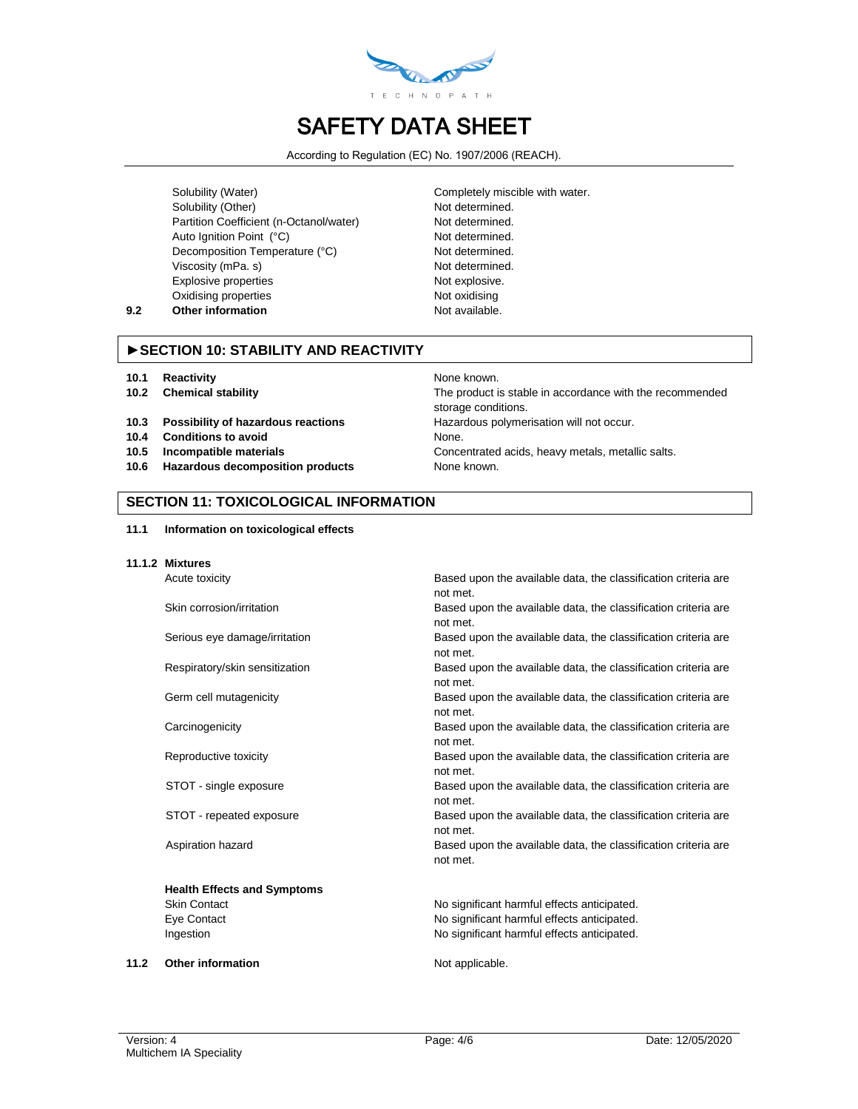

According to Regulation (EC) No. 1907/2006 (REACH).

Solubility (Water) Completely miscible with water. Solubility (Other) Not determined. Partition Coefficient (n-Octanol/water) Not determined. Auto Ignition Point (°C) Not determined. Decomposition Temperature (°C) Not determined. Viscosity (mPa. s) Not determined. Explosive properties Not explosive. Oxidising properties Not oxidising **9.2 Other information Not available.** 

## **►SECTION 10: STABILITY AND REACTIVITY**

- **10.1 Reactivity None known.** None known.
- 
- **10.3 Possibility of hazardous reactions Hazardous polymerisation will not occur.**
- **10.4 Conditions to avoid** None.
- 
- **10.6 Hazardous decomposition products** None known.

**10.2 Chemical stability** The product is stable in accordance with the recommended storage conditions. **10.5 Incompatible materials** Concentrated acids, heavy metals, metallic salts.

#### **SECTION 11: TOXICOLOGICAL INFORMATION**

| 11.1 |  |  | Information on toxicological effects |  |
|------|--|--|--------------------------------------|--|
|------|--|--|--------------------------------------|--|

**11.1.2 Mixtures**

**Health Effects and Symptoms**

Acute toxicity Based upon the available data, the classification criteria are not met. Skin corrosion/irritation **Based upon the available data, the classification criteria are** 

not met.

Serious eye damage/irritation Based upon the available data, the classification criteria are not met.

Respiratory/skin sensitization Based upon the available data, the classification criteria are not met.

Germ cell mutagenicity **Based upon the available data, the classification criteria are** not met.

Carcinogenicity Based upon the available data, the classification criteria are not met.

Reproductive toxicity **Based upon the available data, the classification criteria are** not met.

STOT - single exposure **Based upon the available data, the classification criteria are** not met.

STOT - repeated exposure exposure Based upon the available data, the classification criteria are not met.

Aspiration hazard **Based upon the available data, the classification criteria are** not met.

Skin Contact **No significant harmful effects anticipated.** No significant harmful effects anticipated. Eye Contact No significant harmful effects anticipated. Ingestion **Internal and Separate State and Separate Architects** and internal effects anticipated.

**11.2** Other information **Not applicable.**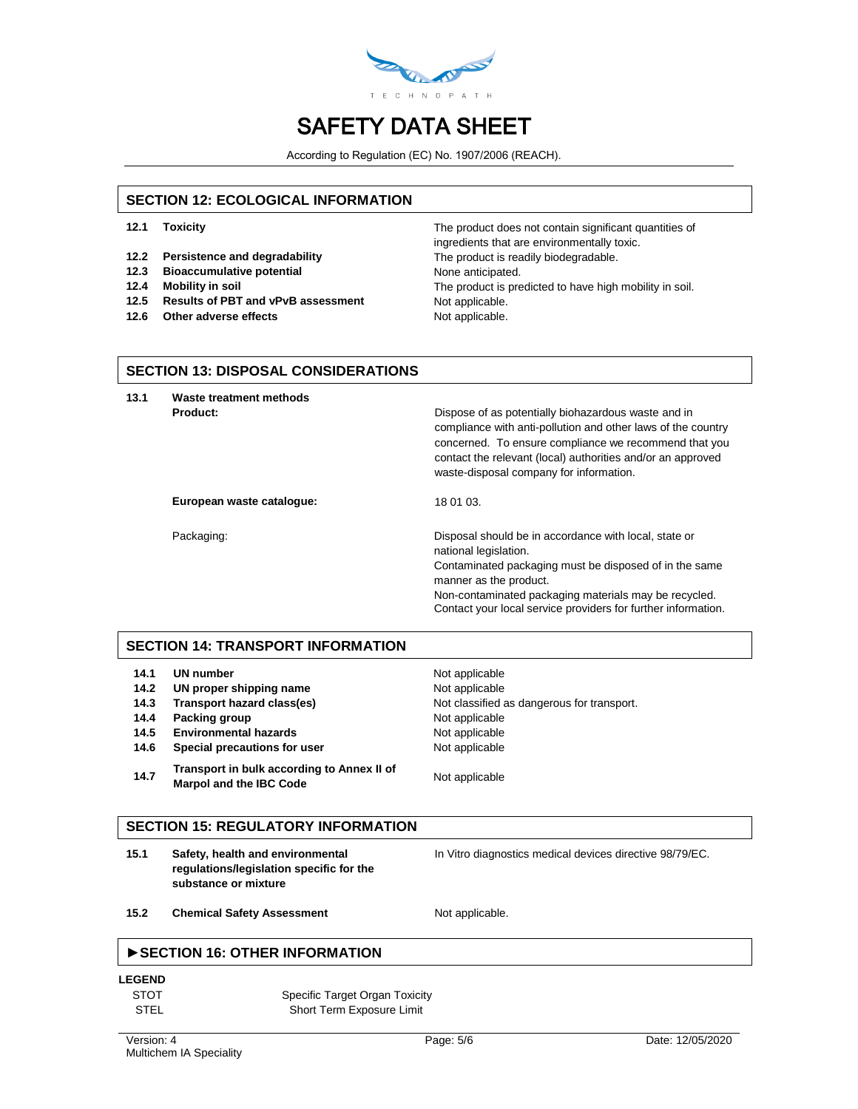

According to Regulation (EC) No. 1907/2006 (REACH).

#### **SECTION 12: ECOLOGICAL INFORMATION**

- 
- **12.2 Persistence and degradability** The product is readily biodegradable.
- **12.3 Bioaccumulative potential** None anticipated.
- 
- 12.5 **Results of PBT and vPvB assessment** Not applicable.
- **12.6** Other adverse effects Not applicable.

**12.1 Toxicity** The product does not contain significant quantities of ingredients that are environmentally toxic. **12.4 Mobility in soil** The product is predicted to have high mobility in soil.

#### **SECTION 13: DISPOSAL CONSIDERATIONS**

**13.1 Waste treatment methods**

**Product: Product: Product: Dispose of as potentially biohazardous waste and in** compliance with anti-pollution and other laws of the country concerned. To ensure compliance we recommend that you contact the relevant (local) authorities and/or an approved waste-disposal company for information.

European waste catalogue: 18 01 03.

Packaging: Disposal should be in accordance with local, state or national legislation. Contaminated packaging must be disposed of in the same manner as the product. Non-contaminated packaging materials may be recycled. Contact your local service providers for further information.

## **SECTION 14: TRANSPORT INFORMATION**

| 14.1 | UN number                                                                    | Not applicable                             |
|------|------------------------------------------------------------------------------|--------------------------------------------|
| 14.2 | UN proper shipping name                                                      | Not applicable                             |
| 14.3 | Transport hazard class(es)                                                   | Not classified as dangerous for transport. |
| 14.4 | Packing group                                                                | Not applicable                             |
| 14.5 | <b>Environmental hazards</b>                                                 | Not applicable                             |
| 14.6 | Special precautions for user                                                 | Not applicable                             |
| 14.7 | Transport in bulk according to Annex II of<br><b>Marpol and the IBC Code</b> | Not applicable                             |

#### **SECTION 15: REGULATORY INFORMATION**

**15.1 Safety, health and environmental regulations/legislation specific for the substance or mixture**

In Vitro diagnostics medical devices directive 98/79/EC.

15.2 **Chemical Safety Assessment** Not applicable.

## **►SECTION 16: OTHER INFORMATION**

**LEGEND**

| <b>STOT</b> | Specific Target Organ Toxicity |
|-------------|--------------------------------|
| <b>STEL</b> | Short Term Exposure Limit      |